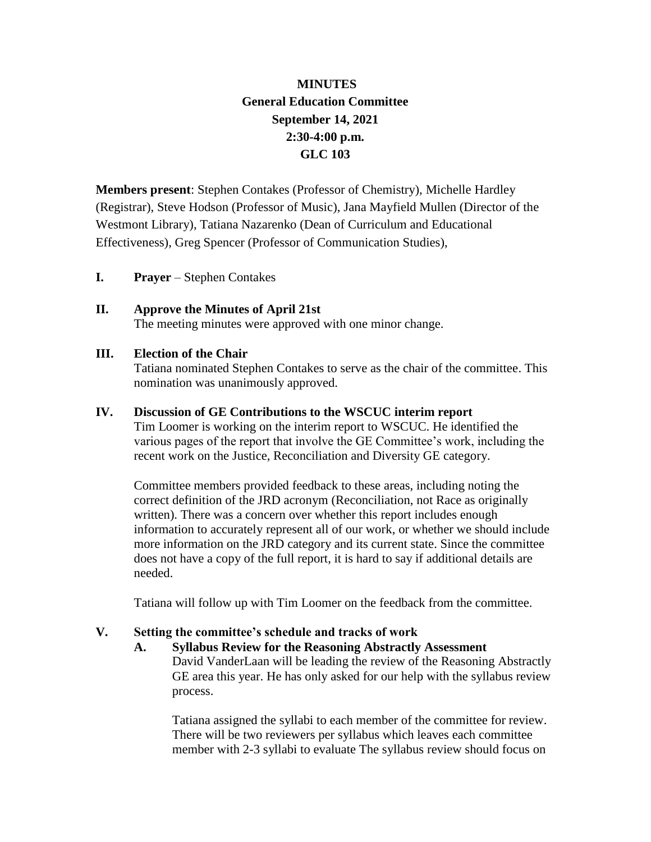# **MINUTES General Education Committee September 14, 2021 2:30-4:00 p.m. GLC 103**

**Members present**: Stephen Contakes (Professor of Chemistry), Michelle Hardley (Registrar), Steve Hodson (Professor of Music), Jana Mayfield Mullen (Director of the Westmont Library), Tatiana Nazarenko (Dean of Curriculum and Educational Effectiveness), Greg Spencer (Professor of Communication Studies),

**I. Prayer** – Stephen Contakes

# **II. Approve the Minutes of April 21st**

The meeting minutes were approved with one minor change.

#### **III. Election of the Chair**

Tatiana nominated Stephen Contakes to serve as the chair of the committee. This nomination was unanimously approved.

#### **IV. Discussion of GE Contributions to the WSCUC interim report**

Tim Loomer is working on the interim report to WSCUC. He identified the various pages of the report that involve the GE Committee's work, including the recent work on the Justice, Reconciliation and Diversity GE category.

Committee members provided feedback to these areas, including noting the correct definition of the JRD acronym (Reconciliation, not Race as originally written). There was a concern over whether this report includes enough information to accurately represent all of our work, or whether we should include more information on the JRD category and its current state. Since the committee does not have a copy of the full report, it is hard to say if additional details are needed.

Tatiana will follow up with Tim Loomer on the feedback from the committee.

## **V. Setting the committee's schedule and tracks of work**

## **A. Syllabus Review for the Reasoning Abstractly Assessment** David VanderLaan will be leading the review of the Reasoning Abstractly GE area this year. He has only asked for our help with the syllabus review process.

Tatiana assigned the syllabi to each member of the committee for review. There will be two reviewers per syllabus which leaves each committee member with 2-3 syllabi to evaluate The syllabus review should focus on